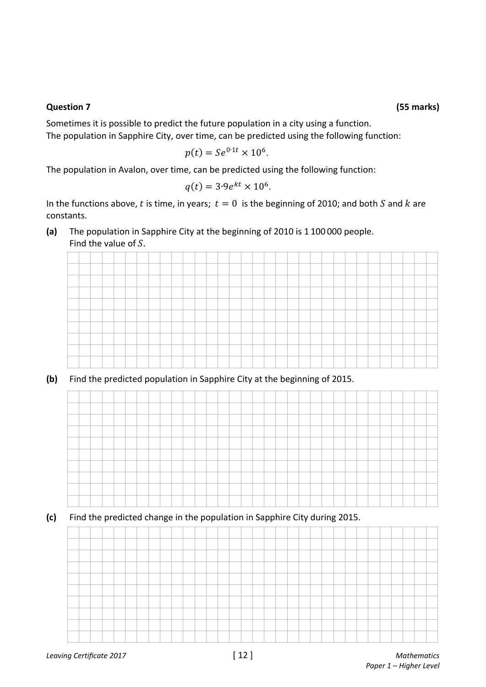## **Question 7 (55 marks)**

Sometimes it is possible to predict the future population in a city using a function. The population in Sapphire City, over time, can be predicted using the following function:

$$
p(t) = Se^{0.1t} \times 10^6.
$$

The population in Avalon, over time, can be predicted using the following function:

$$
q(t) = 3.9e^{kt} \times 10^6.
$$

In the functions above, t is time, in years;  $t = 0$  is the beginning of 2010; and both S and k are constants.

**(a)** The population in Sapphire City at the beginning of 2010 is 1 100 000 people. Find the value of  $S$ .



**(b)** Find the predicted population in Sapphire City at the beginning of 2015.



**(c)** Find the predicted change in the population in Sapphire City during 2015.

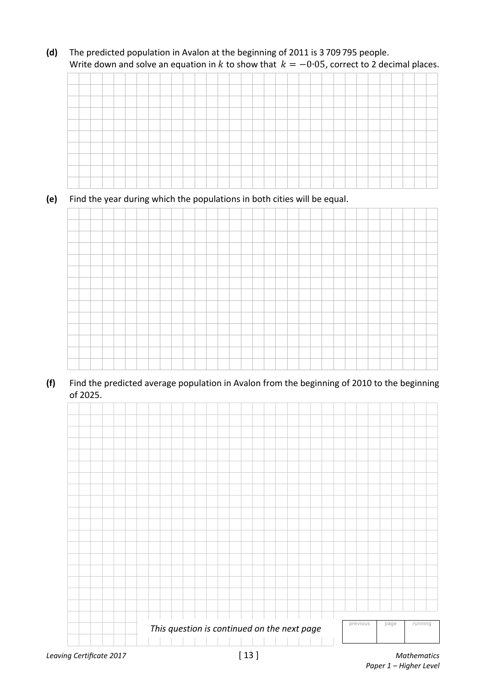**(d)** The predicted population in Avalon at the beginning of 2011 is 3 709 795 people. Write down and solve an equation in k to show that  $k = -0.05$ , correct to 2 decimal places.

## **(e)** Find the year during which the populations in both cities will be equal.



**(f)** Find the predicted average population in Avalon from the beginning of 2010 to the beginning of 2025.



 *Paper 1 – Higher Level*